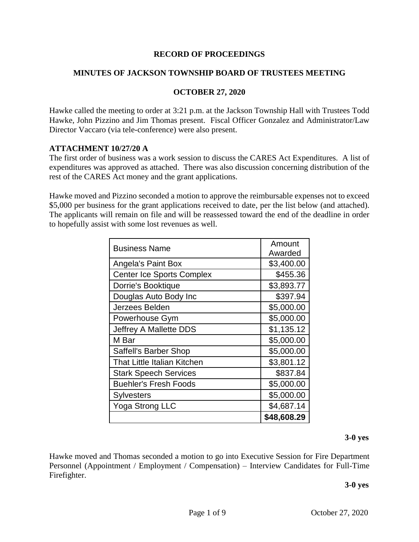#### **RECORD OF PROCEEDINGS**

#### **MINUTES OF JACKSON TOWNSHIP BOARD OF TRUSTEES MEETING**

#### **OCTOBER 27, 2020**

Hawke called the meeting to order at 3:21 p.m. at the Jackson Township Hall with Trustees Todd Hawke, John Pizzino and Jim Thomas present. Fiscal Officer Gonzalez and Administrator/Law Director Vaccaro (via tele-conference) were also present.

#### **ATTACHMENT 10/27/20 A**

The first order of business was a work session to discuss the CARES Act Expenditures. A list of expenditures was approved as attached. There was also discussion concerning distribution of the rest of the CARES Act money and the grant applications.

Hawke moved and Pizzino seconded a motion to approve the reimbursable expenses not to exceed \$5,000 per business for the grant applications received to date, per the list below (and attached). The applicants will remain on file and will be reassessed toward the end of the deadline in order to hopefully assist with some lost revenues as well.

| <b>Business Name</b>             | Amount      |
|----------------------------------|-------------|
|                                  | Awarded     |
| <b>Angela's Paint Box</b>        | \$3,400.00  |
| <b>Center Ice Sports Complex</b> | \$455.36    |
| Dorrie's Booktique               | \$3,893.77  |
| Douglas Auto Body Inc            | \$397.94    |
| Jerzees Belden                   | \$5,000.00  |
| Powerhouse Gym                   | \$5,000.00  |
| Jeffrey A Mallette DDS           | \$1,135.12  |
| M Bar                            | \$5,000.00  |
| Saffell's Barber Shop            | \$5,000.00  |
| That Little Italian Kitchen      | \$3,801.12  |
| <b>Stark Speech Services</b>     | \$837.84    |
| <b>Buehler's Fresh Foods</b>     | \$5,000.00  |
| <b>Sylvesters</b>                | \$5,000.00  |
| Yoga Strong LLC                  | \$4,687.14  |
|                                  | \$48,608.29 |

#### **3-0 yes**

Hawke moved and Thomas seconded a motion to go into Executive Session for Fire Department Personnel (Appointment / Employment / Compensation) – Interview Candidates for Full-Time Firefighter.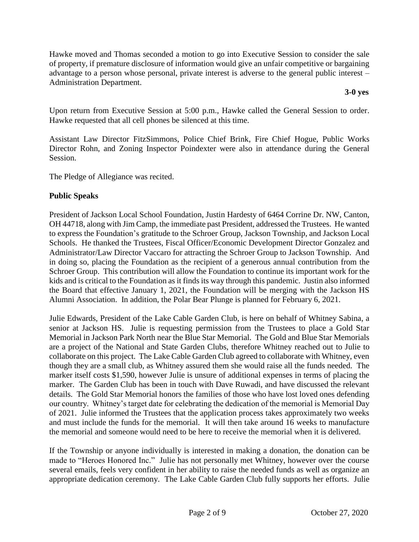Hawke moved and Thomas seconded a motion to go into Executive Session to consider the sale of property, if premature disclosure of information would give an unfair competitive or bargaining advantage to a person whose personal, private interest is adverse to the general public interest – Administration Department.

**3-0 yes**

Upon return from Executive Session at 5:00 p.m., Hawke called the General Session to order. Hawke requested that all cell phones be silenced at this time.

Assistant Law Director FitzSimmons, Police Chief Brink, Fire Chief Hogue, Public Works Director Rohn, and Zoning Inspector Poindexter were also in attendance during the General Session.

The Pledge of Allegiance was recited.

#### **Public Speaks**

President of Jackson Local School Foundation, Justin Hardesty of 6464 Corrine Dr. NW, Canton, OH 44718, along with Jim Camp, the immediate past President, addressed the Trustees. He wanted to express the Foundation's gratitude to the Schroer Group, Jackson Township, and Jackson Local Schools. He thanked the Trustees, Fiscal Officer/Economic Development Director Gonzalez and Administrator/Law Director Vaccaro for attracting the Schroer Group to Jackson Township. And in doing so, placing the Foundation as the recipient of a generous annual contribution from the Schroer Group. This contribution will allow the Foundation to continue its important work for the kids and is critical to the Foundation as it finds its way through this pandemic. Justin also informed the Board that effective January 1, 2021, the Foundation will be merging with the Jackson HS Alumni Association. In addition, the Polar Bear Plunge is planned for February 6, 2021.

Julie Edwards, President of the Lake Cable Garden Club, is here on behalf of Whitney Sabina, a senior at Jackson HS. Julie is requesting permission from the Trustees to place a Gold Star Memorial in Jackson Park North near the Blue Star Memorial. The Gold and Blue Star Memorials are a project of the National and State Garden Clubs, therefore Whitney reached out to Julie to collaborate on this project. The Lake Cable Garden Club agreed to collaborate with Whitney, even though they are a small club, as Whitney assured them she would raise all the funds needed. The marker itself costs \$1,590, however Julie is unsure of additional expenses in terms of placing the marker. The Garden Club has been in touch with Dave Ruwadi, and have discussed the relevant details. The Gold Star Memorial honors the families of those who have lost loved ones defending our country. Whitney's target date for celebrating the dedication of the memorial is Memorial Day of 2021. Julie informed the Trustees that the application process takes approximately two weeks and must include the funds for the memorial. It will then take around 16 weeks to manufacture the memorial and someone would need to be here to receive the memorial when it is delivered.

If the Township or anyone individually is interested in making a donation, the donation can be made to "Heroes Honored Inc." Julie has not personally met Whitney, however over the course several emails, feels very confident in her ability to raise the needed funds as well as organize an appropriate dedication ceremony. The Lake Cable Garden Club fully supports her efforts. Julie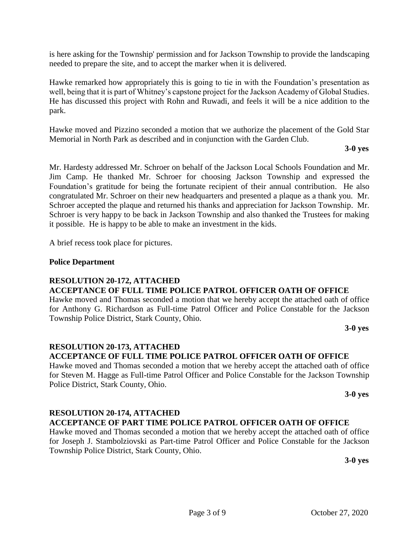is here asking for the Township' permission and for Jackson Township to provide the landscaping needed to prepare the site, and to accept the marker when it is delivered.

Hawke remarked how appropriately this is going to tie in with the Foundation's presentation as well, being that it is part of Whitney's capstone project for the Jackson Academy of Global Studies. He has discussed this project with Rohn and Ruwadi, and feels it will be a nice addition to the park.

Hawke moved and Pizzino seconded a motion that we authorize the placement of the Gold Star Memorial in North Park as described and in conjunction with the Garden Club.

**3-0 yes**

Mr. Hardesty addressed Mr. Schroer on behalf of the Jackson Local Schools Foundation and Mr. Jim Camp. He thanked Mr. Schroer for choosing Jackson Township and expressed the Foundation's gratitude for being the fortunate recipient of their annual contribution. He also congratulated Mr. Schroer on their new headquarters and presented a plaque as a thank you. Mr. Schroer accepted the plaque and returned his thanks and appreciation for Jackson Township. Mr. Schroer is very happy to be back in Jackson Township and also thanked the Trustees for making it possible. He is happy to be able to make an investment in the kids.

A brief recess took place for pictures.

#### **Police Department**

#### **RESOLUTION 20-172, ATTACHED ACCEPTANCE OF FULL TIME POLICE PATROL OFFICER OATH OF OFFICE**

Hawke moved and Thomas seconded a motion that we hereby accept the attached oath of office for Anthony G. Richardson as Full-time Patrol Officer and Police Constable for the Jackson Township Police District, Stark County, Ohio.

**3-0 yes**

#### **RESOLUTION 20-173, ATTACHED ACCEPTANCE OF FULL TIME POLICE PATROL OFFICER OATH OF OFFICE**

Hawke moved and Thomas seconded a motion that we hereby accept the attached oath of office for Steven M. Hagge as Full-time Patrol Officer and Police Constable for the Jackson Township Police District, Stark County, Ohio.

**3-0 yes**

#### **RESOLUTION 20-174, ATTACHED**

#### **ACCEPTANCE OF PART TIME POLICE PATROL OFFICER OATH OF OFFICE**

Hawke moved and Thomas seconded a motion that we hereby accept the attached oath of office for Joseph J. Stambolziovski as Part-time Patrol Officer and Police Constable for the Jackson Township Police District, Stark County, Ohio.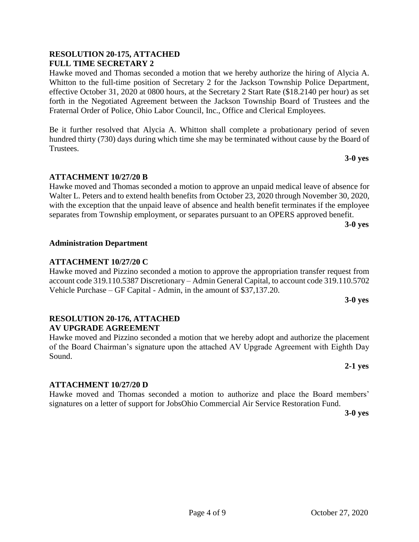#### **RESOLUTION 20-175, ATTACHED FULL TIME SECRETARY 2**

Hawke moved and Thomas seconded a motion that we hereby authorize the hiring of Alycia A. Whitton to the full-time position of Secretary 2 for the Jackson Township Police Department, effective October 31, 2020 at 0800 hours, at the Secretary 2 Start Rate (\$18.2140 per hour) as set forth in the Negotiated Agreement between the Jackson Township Board of Trustees and the Fraternal Order of Police, Ohio Labor Council, Inc., Office and Clerical Employees.

Be it further resolved that Alycia A. Whitton shall complete a probationary period of seven hundred thirty (730) days during which time she may be terminated without cause by the Board of Trustees.

#### **ATTACHMENT 10/27/20 B**

Hawke moved and Thomas seconded a motion to approve an unpaid medical leave of absence for Walter L. Peters and to extend health benefits from October 23, 2020 through November 30, 2020, with the exception that the unpaid leave of absence and health benefit terminates if the employee separates from Township employment, or separates pursuant to an OPERS approved benefit.

**3-0 yes**

**3-0 yes**

#### **Administration Department**

#### **ATTACHMENT 10/27/20 C**

Hawke moved and Pizzino seconded a motion to approve the appropriation transfer request from account code 319.110.5387 Discretionary – Admin General Capital, to account code 319.110.5702 Vehicle Purchase – GF Capital - Admin, in the amount of \$37,137.20.

#### **3-0 yes**

#### **RESOLUTION 20-176, ATTACHED AV UPGRADE AGREEMENT**

Hawke moved and Pizzino seconded a motion that we hereby adopt and authorize the placement of the Board Chairman's signature upon the attached AV Upgrade Agreement with Eighth Day Sound.

**2-1 yes**

#### **ATTACHMENT 10/27/20 D**

Hawke moved and Thomas seconded a motion to authorize and place the Board members' signatures on a letter of support for JobsOhio Commercial Air Service Restoration Fund.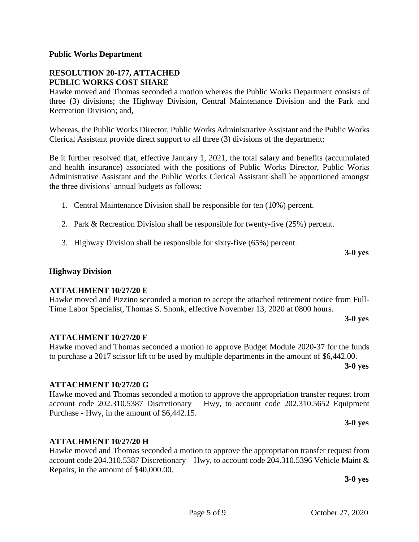#### **Public Works Department**

#### **RESOLUTION 20-177, ATTACHED PUBLIC WORKS COST SHARE**

Hawke moved and Thomas seconded a motion whereas the Public Works Department consists of three (3) divisions; the Highway Division, Central Maintenance Division and the Park and Recreation Division; and,

Whereas, the Public Works Director, Public Works Administrative Assistant and the Public Works Clerical Assistant provide direct support to all three (3) divisions of the department;

Be it further resolved that, effective January 1, 2021, the total salary and benefits (accumulated and health insurance) associated with the positions of Public Works Director, Public Works Administrative Assistant and the Public Works Clerical Assistant shall be apportioned amongst the three divisions' annual budgets as follows:

- 1. Central Maintenance Division shall be responsible for ten (10%) percent.
- 2. Park & Recreation Division shall be responsible for twenty-five (25%) percent.
- 3. Highway Division shall be responsible for sixty-five (65%) percent.

#### **Highway Division**

#### **ATTACHMENT 10/27/20 E**

Hawke moved and Pizzino seconded a motion to accept the attached retirement notice from Full-Time Labor Specialist, Thomas S. Shonk, effective November 13, 2020 at 0800 hours.

**3-0 yes**

**3-0 yes**

#### **ATTACHMENT 10/27/20 F**

Hawke moved and Thomas seconded a motion to approve Budget Module 2020-37 for the funds to purchase a 2017 scissor lift to be used by multiple departments in the amount of \$6,442.00.

**3-0 yes**

#### **ATTACHMENT 10/27/20 G**

Hawke moved and Thomas seconded a motion to approve the appropriation transfer request from account code 202.310.5387 Discretionary – Hwy, to account code 202.310.5652 Equipment Purchase - Hwy, in the amount of \$6,442.15.

**3-0 yes**

#### **ATTACHMENT 10/27/20 H**

Hawke moved and Thomas seconded a motion to approve the appropriation transfer request from account code 204.310.5387 Discretionary – Hwy, to account code 204.310.5396 Vehicle Maint & Repairs, in the amount of \$40,000.00.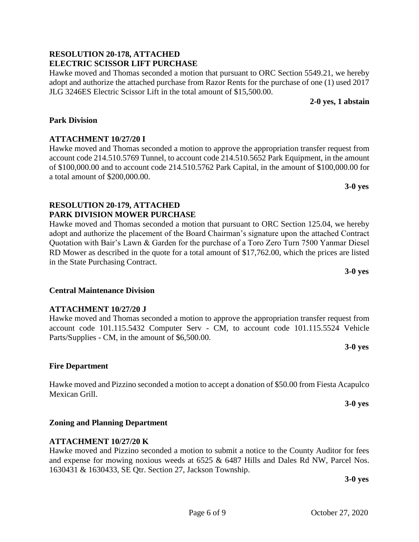#### **RESOLUTION 20-178, ATTACHED ELECTRIC SCISSOR LIFT PURCHASE**

Hawke moved and Thomas seconded a motion that pursuant to ORC Section 5549.21, we hereby adopt and authorize the attached purchase from Razor Rents for the purchase of one (1) used 2017 JLG 3246ES Electric Scissor Lift in the total amount of \$15,500.00.

Hawke moved and Thomas seconded a motion to approve the appropriation transfer request from account code 214.510.5769 Tunnel, to account code 214.510.5652 Park Equipment, in the amount of \$100,000.00 and to account code 214.510.5762 Park Capital, in the amount of \$100,000.00 for

Hawke moved and Thomas seconded a motion that pursuant to ORC Section 125.04, we hereby adopt and authorize the placement of the Board Chairman's signature upon the attached Contract Quotation with Bair's Lawn & Garden for the purchase of a Toro Zero Turn 7500 Yanmar Diesel RD Mower as described in the quote for a total amount of \$17,762.00, which the prices are listed

 **2-0 yes, 1 abstain**

**3-0 yes**

**3-0 yes**

# **3-0 yes**

**3-0 yes**

#### **3-0 yes**

## account code 101.115.5432 Computer Serv - CM, to account code 101.115.5524 Vehicle Parts/Supplies - CM, in the amount of \$6,500.00.

### **Fire Department**

**Park Division**

**ATTACHMENT 10/27/20 I**

a total amount of \$200,000.00.

in the State Purchasing Contract.

**Central Maintenance Division**

**ATTACHMENT 10/27/20 J**

**RESOLUTION 20-179, ATTACHED PARK DIVISION MOWER PURCHASE**

Hawke moved and Pizzino seconded a motion to accept a donation of \$50.00 from Fiesta Acapulco Mexican Grill.

Hawke moved and Thomas seconded a motion to approve the appropriation transfer request from

**Zoning and Planning Department**

### **ATTACHMENT 10/27/20 K**

Hawke moved and Pizzino seconded a motion to submit a notice to the County Auditor for fees and expense for mowing noxious weeds at 6525 & 6487 Hills and Dales Rd NW, Parcel Nos. 1630431 & 1630433, SE Qtr. Section 27, Jackson Township.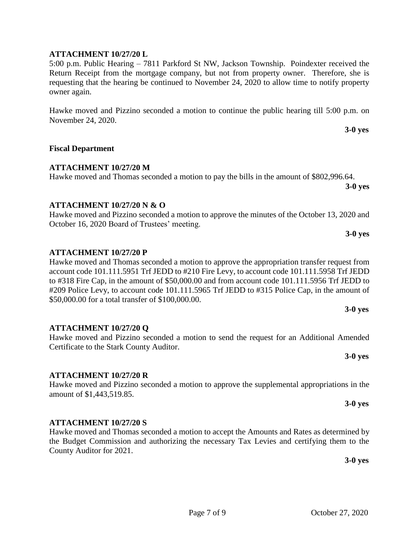#### **ATTACHMENT 10/27/20 L**

5:00 p.m. Public Hearing – 7811 Parkford St NW, Jackson Township. Poindexter received the Return Receipt from the mortgage company, but not from property owner. Therefore, she is requesting that the hearing be continued to November 24, 2020 to allow time to notify property owner again.

Hawke moved and Pizzino seconded a motion to continue the public hearing till 5:00 p.m. on November 24, 2020.

#### **Fiscal Department**

#### **ATTACHMENT 10/27/20 M**

Hawke moved and Thomas seconded a motion to pay the bills in the amount of \$802,996.64.

#### **ATTACHMENT 10/27/20 N & O**

Hawke moved and Pizzino seconded a motion to approve the minutes of the October 13, 2020 and October 16, 2020 Board of Trustees' meeting.

#### **ATTACHMENT 10/27/20 P**

Hawke moved and Thomas seconded a motion to approve the appropriation transfer request from account code 101.111.5951 Trf JEDD to #210 Fire Levy, to account code 101.111.5958 Trf JEDD to #318 Fire Cap, in the amount of \$50,000.00 and from account code 101.111.5956 Trf JEDD to #209 Police Levy, to account code 101.111.5965 Trf JEDD to #315 Police Cap, in the amount of \$50,000.00 for a total transfer of \$100,000.00.

#### **ATTACHMENT 10/27/20 Q**

Hawke moved and Pizzino seconded a motion to send the request for an Additional Amended Certificate to the Stark County Auditor.

#### **ATTACHMENT 10/27/20 R**

Hawke moved and Pizzino seconded a motion to approve the supplemental appropriations in the amount of \$1,443,519.85.

#### **ATTACHMENT 10/27/20 S**

Hawke moved and Thomas seconded a motion to accept the Amounts and Rates as determined by the Budget Commission and authorizing the necessary Tax Levies and certifying them to the County Auditor for 2021.

**3-0 yes**

**3-0 yes**

**3-0 yes**

**3-0 yes**

**3-0 yes**

**3-0 yes**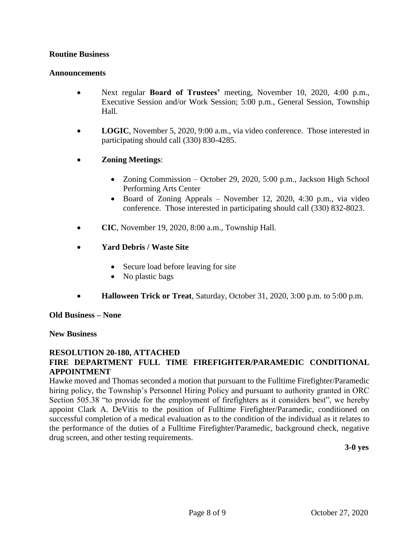#### **Routine Business**

#### **Announcements**

- Next regular **Board of Trustees'** meeting, November 10, 2020, 4:00 p.m., Executive Session and/or Work Session; 5:00 p.m., General Session, Township Hall.
- **LOGIC**, November 5, 2020, 9:00 a.m., via video conference. Those interested in participating should call (330) 830-4285.
- **Zoning Meetings**:
	- Zoning Commission October 29, 2020, 5:00 p.m., Jackson High School Performing Arts Center
	- Board of Zoning Appeals November 12, 2020, 4:30 p.m., via video conference. Those interested in participating should call (330) 832-8023.
- **CIC**, November 19, 2020, 8:00 a.m., Township Hall.
- **Yard Debris / Waste Site**
	- Secure load before leaving for site
	- No plastic bags
- **Halloween Trick or Treat**, Saturday, October 31, 2020, 3:00 p.m. to 5:00 p.m.

**Old Business – None**

#### **New Business**

#### **RESOLUTION 20-180, ATTACHED FIRE DEPARTMENT FULL TIME FIREFIGHTER/PARAMEDIC CONDITIONAL APPOINTMENT**

Hawke moved and Thomas seconded a motion that pursuant to the Fulltime Firefighter/Paramedic hiring policy, the Township's Personnel Hiring Policy and pursuant to authority granted in ORC Section 505.38 "to provide for the employment of firefighters as it considers best", we hereby appoint Clark A. DeVitis to the position of Fulltime Firefighter/Paramedic, conditioned on successful completion of a medical evaluation as to the condition of the individual as it relates to the performance of the duties of a Fulltime Firefighter/Paramedic, background check, negative drug screen, and other testing requirements.